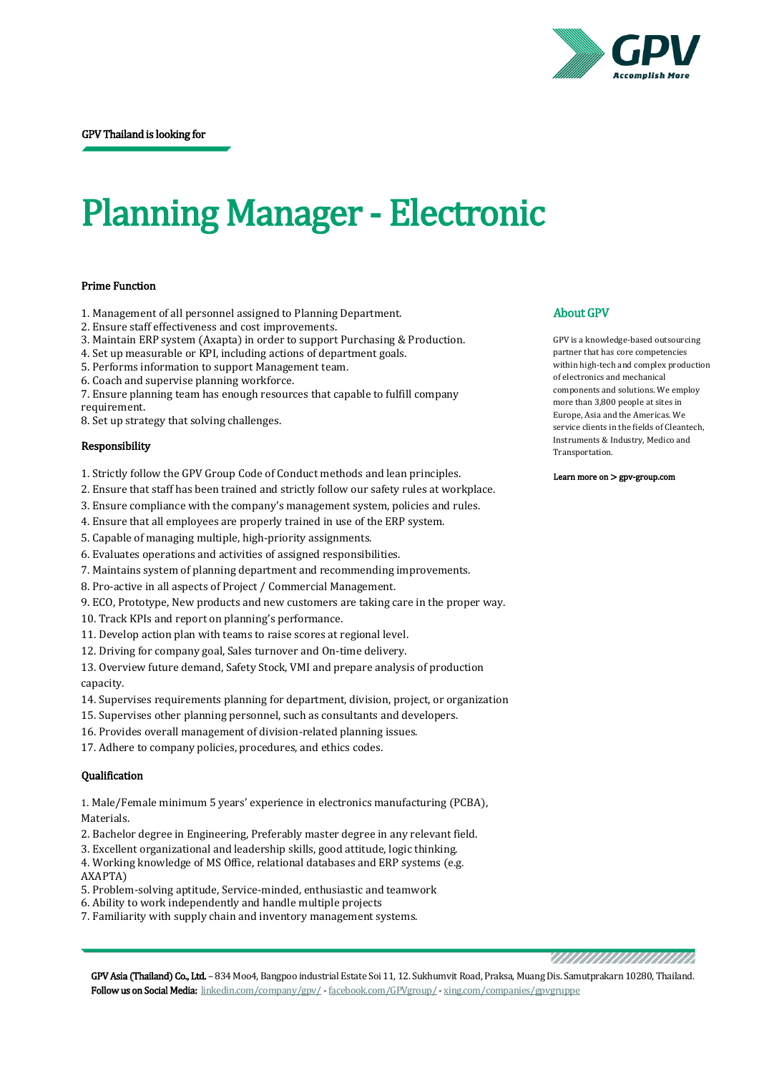

# Planning Manager - Electronic

### Prime Function

- 1. Management of all personnel assigned to Planning Department.
- 2. Ensure staff effectiveness and cost improvements.
- 3. Maintain ERP system (Axapta) in order to support Purchasing & Production.
- 4. Set up measurable or KPI, including actions of department goals.
- 5. Performs information to support Management team.
- 6. Coach and supervise planning workforce.

7. Ensure planning team has enough resources that capable to fulfill company requirement.

8. Set up strategy that solving challenges.

#### Responsibility

- 1. Strictly follow the GPV Group Code of Conduct methods and lean principles.
- 2. Ensure that staff has been trained and strictly follow our safety rules at workplace.
- 3. Ensure compliance with the company's management system, policies and rules.
- 4. Ensure that all employees are properly trained in use of the ERP system.
- 5. Capable of managing multiple, high-priority assignments.
- 6. Evaluates operations and activities of assigned responsibilities.
- 7. Maintains system of planning department and recommending improvements.
- 8. Pro-active in all aspects of Project / Commercial Management.
- 9. ECO, Prototype, New products and new customers are taking care in the proper way.
- 10. Track KPIs and report on planning's performance.
- 11. Develop action plan with teams to raise scores at regional level.
- 12. Driving for company goal, Sales turnover and On-time delivery.

13. Overview future demand, Safety Stock, VMI and prepare analysis of production capacity.

- 14. Supervises requirements planning for department, division, project, or organization
- 15. Supervises other planning personnel, such as consultants and developers.
- 16. Provides overall management of division-related planning issues.
- 17. Adhere to company policies, procedures, and ethics codes.

## Qualification

1. Male/Female minimum 5 years' experience in electronics manufacturing (PCBA), Materials.

- 2. Bachelor degree in Engineering, Preferably master degree in any relevant field.
- 3. Excellent organizational and leadership skills, good attitude, logic thinking.

4. Working knowledge of MS Office, relational databases and ERP systems (e.g. AXAPTA)

- 5. Problem-solving aptitude, Service-minded, enthusiastic and teamwork
- 6. Ability to work independently and handle multiple projects
- 7. Familiarity with supply chain and inventory management systems.

## About GPV

GPV is a knowledge-based outsourcing partner that has core competencies within high-tech and complex production of electronics and mechanical components and solutions. We employ more than 3,800 people at sites in Europe, Asia and the Americas. We service clients in the fields of Cleantech, Instruments & Industry, Medico and Transportation.

Learn more on [> gpv-group.com](http://gpv-group.com/) 

,,,,,,,,,,,,,,,,,,,,,,,